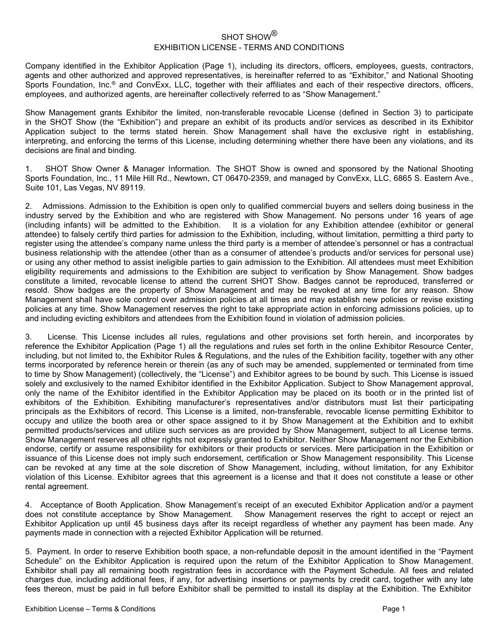## SHOT SHOW<sup>®</sup> EXHIBITION LICENSE - TERMS AND CONDITIONS

Company identified in the Exhibitor Application (Page 1), including its directors, officers, employees, guests, contractors, agents and other authorized and approved representatives, is hereinafter referred to as "Exhibitor," and National Shooting Sports Foundation, Inc.® and ConvExx, LLC, together with their affiliates and each of their respective directors, officers, employees, and authorized agents, are hereinafter collectively referred to as "Show Management."

Show Management grants Exhibitor the limited, non-transferable revocable License (defined in Section 3) to participate in the SHOT Show (the "Exhibition") and prepare an exhibit of its products and/or services as described in its Exhibitor Application subject to the terms stated herein. Show Management shall have the exclusive right in establishing, interpreting, and enforcing the terms of this License, including determining whether there have been any violations, and its decisions are final and binding.

1. SHOT Show Owner & Manager Information. The SHOT Show is owned and sponsored by the National Shooting Sports Foundation, Inc., 11 Mile Hill Rd., Newtown, CT 06470-2359, and managed by ConvExx, LLC, 6865 S. Eastern Ave., Suite 101, Las Vegas, NV 89119.

2. Admissions. Admission to the Exhibition is open only to qualified commercial buyers and sellers doing business in the industry served by the Exhibition and who are registered with Show Management. No persons under 16 years of age (including infants) will be admitted to the Exhibition. It is a violation for any Exhibition attendee (exhibitor or general attendee) to falsely certify third parties for admission to the Exhibition, including, without limitation, permitting a third party to register using the attendee's company name unless the third party is a member of attendee's personnel or has a contractual business relationship with the attendee (other than as a consumer of attendee's products and/or services for personal use) or using any other method to assist ineligible parties to gain admission to the Exhibition. All attendees must meet Exhibition eligibility requirements and admissions to the Exhibition are subject to verification by Show Management. Show badges constitute a limited, revocable license to attend the current SHOT Show. Badges cannot be reproduced, transferred or resold. Show badges are the property of Show Management and may be revoked at any time for any reason. Show Management shall have sole control over admission policies at all times and may establish new policies or revise existing policies at any time. Show Management reserves the right to take appropriate action in enforcing admissions policies, up to and including evicting exhibitors and attendees from the Exhibition found in violation of admission policies.

3. License. This License includes all rules, regulations and other provisions set forth herein, and incorporates by reference the Exhibitor Application (Page 1) all the regulations and rules set forth in the online Exhibitor Resource Center, including, but not limited to, the Exhibitor Rules & Regulations, and the rules of the Exhibition facility, together with any other terms incorporated by reference herein or therein (as any of such may be amended, supplemented or terminated from time to time by Show Management) (collectively, the "License") and Exhibitor agrees to be bound by such. This License is issued solely and exclusively to the named Exhibitor identified in the Exhibitor Application. Subject to Show Management approval, only the name of the Exhibitor identified in the Exhibitor Application may be placed on its booth or in the printed list of exhibitors of the Exhibition. Exhibiting manufacturer's representatives and/or distributors must list their participating principals as the Exhibitors of record. This License is a limited, non-transferable, revocable license permitting Exhibitor to occupy and utilize the booth area or other space assigned to it by Show Management at the Exhibition and to exhibit permitted products/services and utilize such services as are provided by Show Management, subject to all License terms. Show Management reserves all other rights not expressly granted to Exhibitor. Neither Show Management nor the Exhibition endorse, certify or assume responsibility for exhibitors or their products or services. Mere participation in the Exhibition or issuance of this License does not imply such endorsement, certification or Show Management responsibility. This License can be revoked at any time at the sole discretion of Show Management, including, without limitation, for any Exhibitor violation of this License. Exhibitor agrees that this agreement is a license and that it does not constitute a lease or other rental agreement.

4. Acceptance of Booth Application. Show Management's receipt of an executed Exhibitor Application and/or a payment does not constitute acceptance by Show Management. Show Management reserves the right to accept or reject an Exhibitor Application up until 45 business days after its receipt regardless of whether any payment has been made. Any payments made in connection with a rejected Exhibitor Application will be returned.

5. Payment. In order to reserve Exhibition booth space, a non-refundable deposit in the amount identified in the "Payment Schedule" on the Exhibitor Application is required upon the return of the Exhibitor Application to Show Management. Exhibitor shall pay all remaining booth registration fees in accordance with the Payment Schedule. All fees and related charges due, including additional fees, if any, for advertising insertions or payments by credit card, together with any late fees thereon, must be paid in full before Exhibitor shall be permitted to install its display at the Exhibition. The Exhibitor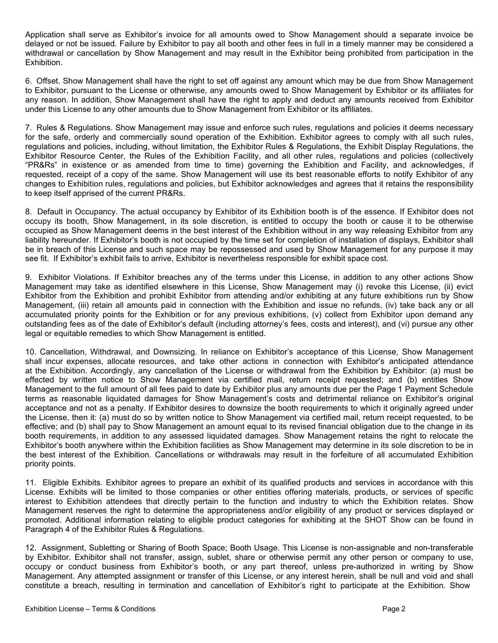Application shall serve as Exhibitor's invoice for all amounts owed to Show Management should a separate invoice be delayed or not be issued. Failure by Exhibitor to pay all booth and other fees in full in a timely manner may be considered a withdrawal or cancellation by Show Management and may result in the Exhibitor being prohibited from participation in the Exhibition.

6. Offset. Show Management shall have the right to set off against any amount which may be due from Show Management to Exhibitor, pursuant to the License or otherwise, any amounts owed to Show Management by Exhibitor or its affiliates for any reason. In addition, Show Management shall have the right to apply and deduct any amounts received from Exhibitor under this License to any other amounts due to Show Management from Exhibitor or its affiliates.

7. Rules & Regulations. Show Management may issue and enforce such rules, regulations and policies it deems necessary for the safe, orderly and commercially sound operation of the Exhibition. Exhibitor agrees to comply with all such rules, regulations and policies, including, without limitation, the Exhibitor Rules & Regulations, the Exhibit Display Regulations, the Exhibitor Resource Center, the Rules of the Exhibition Facility, and all other rules, regulations and policies (collectively "PR&Rs" in existence or as amended from time to time) governing the Exhibition and Facility, and acknowledges, if requested, receipt of a copy of the same. Show Management will use its best reasonable efforts to notify Exhibitor of any changes to Exhibition rules, regulations and policies, but Exhibitor acknowledges and agrees that it retains the responsibility to keep itself apprised of the current PR&Rs.

8. Default in Occupancy. The actual occupancy by Exhibitor of its Exhibition booth is of the essence. If Exhibitor does not occupy its booth, Show Management, in its sole discretion, is entitled to occupy the booth or cause it to be otherwise occupied as Show Management deems in the best interest of the Exhibition without in any way releasing Exhibitor from any liability hereunder. If Exhibitor's booth is not occupied by the time set for completion of installation of displays, Exhibitor shall be in breach of this License and such space may be repossessed and used by Show Management for any purpose it may see fit. If Exhibitor's exhibit fails to arrive, Exhibitor is nevertheless responsible for exhibit space cost.

9. Exhibitor Violations. If Exhibitor breaches any of the terms under this License, in addition to any other actions Show Management may take as identified elsewhere in this License, Show Management may (i) revoke this License, (ii) evict Exhibitor from the Exhibition and prohibit Exhibitor from attending and/or exhibiting at any future exhibitions run by Show Management, (iii) retain all amounts paid in connection with the Exhibition and issue no refunds, (iv) take back any or all accumulated priority points for the Exhibition or for any previous exhibitions, (v) collect from Exhibitor upon demand any outstanding fees as of the date of Exhibitor's default (including attorney's fees, costs and interest), and (vi) pursue any other legal or equitable remedies to which Show Management is entitled.

10. Cancellation, Withdrawal, and Downsizing. In reliance on Exhibitor's acceptance of this License, Show Management shall incur expenses, allocate resources, and take other actions in connection with Exhibitor's anticipated attendance at the Exhibition. Accordingly, any cancellation of the License or withdrawal from the Exhibition by Exhibitor: (a) must be effected by written notice to Show Management via certified mail, return receipt requested; and (b) entitles Show Management to the full amount of all fees paid to date by Exhibitor plus any amounts due per the Page 1 Payment Schedule terms as reasonable liquidated damages for Show Management's costs and detrimental reliance on Exhibitor's original acceptance and not as a penalty. If Exhibitor desires to downsize the booth requirements to which it originally agreed under the License, then it: (a) must do so by written notice to Show Management via certified mail, return receipt requested, to be effective; and (b) shall pay to Show Management an amount equal to its revised financial obligation due to the change in its booth requirements, in addition to any assessed liquidated damages. Show Management retains the right to relocate the Exhibitor's booth anywhere within the Exhibition facilities as Show Management may determine in its sole discretion to be in the best interest of the Exhibition. Cancellations or withdrawals may result in the forfeiture of all accumulated Exhibition priority points.

11. Eligible Exhibits. Exhibitor agrees to prepare an exhibit of its qualified products and services in accordance with this License. Exhibits will be limited to those companies or other entities offering materials, products, or services of specific interest to Exhibition attendees that directly pertain to the function and industry to which the Exhibition relates. Show Management reserves the right to determine the appropriateness and/or eligibility of any product or services displayed or promoted. Additional information relating to eligible product categories for exhibiting at the SHOT Show can be found in Paragraph 4 of the Exhibitor Rules & Regulations.

12. Assignment, Subletting or Sharing of Booth Space; Booth Usage. This License is non-assignable and non-transferable by Exhibitor. Exhibitor shall not transfer, assign, sublet, share or otherwise permit any other person or company to use, occupy or conduct business from Exhibitor's booth, or any part thereof, unless pre-authorized in writing by Show Management. Any attempted assignment or transfer of this License, or any interest herein, shall be null and void and shall constitute a breach, resulting in termination and cancellation of Exhibitor's right to participate at the Exhibition. Show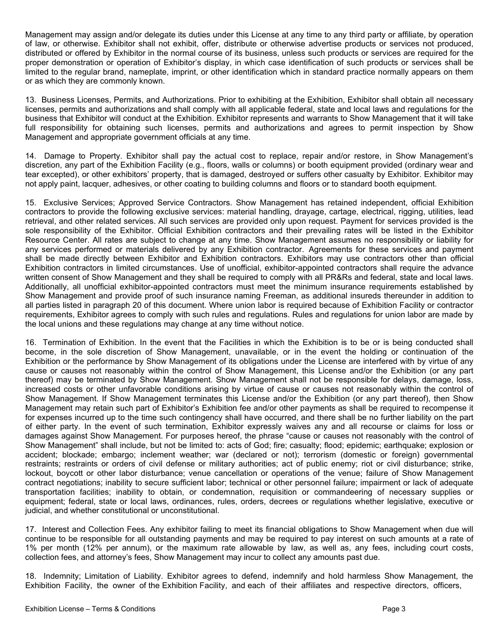Management may assign and/or delegate its duties under this License at any time to any third party or affiliate, by operation of law, or otherwise. Exhibitor shall not exhibit, offer, distribute or otherwise advertise products or services not produced, distributed or offered by Exhibitor in the normal course of its business, unless such products or services are required for the proper demonstration or operation of Exhibitor's display, in which case identification of such products or services shall be limited to the regular brand, nameplate, imprint, or other identification which in standard practice normally appears on them or as which they are commonly known.

13. Business Licenses, Permits, and Authorizations. Prior to exhibiting at the Exhibition, Exhibitor shall obtain all necessary licenses, permits and authorizations and shall comply with all applicable federal, state and local laws and regulations for the business that Exhibitor will conduct at the Exhibition. Exhibitor represents and warrants to Show Management that it will take full responsibility for obtaining such licenses, permits and authorizations and agrees to permit inspection by Show Management and appropriate government officials at any time.

14. Damage to Property. Exhibitor shall pay the actual cost to replace, repair and/or restore, in Show Management's discretion, any part of the Exhibition Facility (e.g., floors, walls or columns) or booth equipment provided (ordinary wear and tear excepted), or other exhibitors' property, that is damaged, destroyed or suffers other casualty by Exhibitor. Exhibitor may not apply paint, lacquer, adhesives, or other coating to building columns and floors or to standard booth equipment.

15. Exclusive Services; Approved Service Contractors. Show Management has retained independent, official Exhibition contractors to provide the following exclusive services: material handling, drayage, cartage, electrical, rigging, utilities, lead retrieval, and other related services. All such services are provided only upon request. Payment for services provided is the sole responsibility of the Exhibitor. Official Exhibition contractors and their prevailing rates will be listed in the Exhibitor Resource Center. All rates are subject to change at any time. Show Management assumes no responsibility or liability for any services performed or materials delivered by any Exhibition contractor. Agreements for these services and payment shall be made directly between Exhibitor and Exhibition contractors. Exhibitors may use contractors other than official Exhibition contractors in limited circumstances. Use of unofficial, exhibitor-appointed contractors shall require the advance written consent of Show Management and they shall be required to comply with all PR&Rs and federal, state and local laws. Additionally, all unofficial exhibitor-appointed contractors must meet the minimum insurance requirements established by Show Management and provide proof of such insurance naming Freeman, as additional insureds thereunder in addition to all parties listed in paragraph 20 of this document. Where union labor is required because of Exhibition Facility or contractor requirements, Exhibitor agrees to comply with such rules and regulations. Rules and regulations for union labor are made by the local unions and these regulations may change at any time without notice.

16. Termination of Exhibition. In the event that the Facilities in which the Exhibition is to be or is being conducted shall become, in the sole discretion of Show Management, unavailable, or in the event the holding or continuation of the Exhibition or the performance by Show Management of its obligations under the License are interfered with by virtue of any cause or causes not reasonably within the control of Show Management, this License and/or the Exhibition (or any part thereof) may be terminated by Show Management. Show Management shall not be responsible for delays, damage, loss, increased costs or other unfavorable conditions arising by virtue of cause or causes not reasonably within the control of Show Management. If Show Management terminates this License and/or the Exhibition (or any part thereof), then Show Management may retain such part of Exhibitor's Exhibition fee and/or other payments as shall be required to recompense it for expenses incurred up to the time such contingency shall have occurred, and there shall be no further liability on the part of either party. In the event of such termination, Exhibitor expressly waives any and all recourse or claims for loss or damages against Show Management. For purposes hereof, the phrase "cause or causes not reasonably with the control of Show Management" shall include, but not be limited to: acts of God; fire; casualty; flood; epidemic; earthquake; explosion or accident; blockade; embargo; inclement weather; war (declared or not); terrorism (domestic or foreign) governmental restraints; restraints or orders of civil defense or military authorities; act of public enemy; riot or civil disturbance; strike, lockout, boycott or other labor disturbance; venue cancellation or operations of the venue; failure of Show Management contract negotiations; inability to secure sufficient labor; technical or other personnel failure; impairment or lack of adequate transportation facilities; inability to obtain, or condemnation, requisition or commandeering of necessary supplies or equipment; federal, state or local laws, ordinances, rules, orders, decrees or regulations whether legislative, executive or judicial, and whether constitutional or unconstitutional.

17. Interest and Collection Fees. Any exhibitor failing to meet its financial obligations to Show Management when due will continue to be responsible for all outstanding payments and may be required to pay interest on such amounts at a rate of 1% per month (12% per annum), or the maximum rate allowable by law, as well as, any fees, including court costs, collection fees, and attorney's fees, Show Management may incur to collect any amounts past due.

18. Indemnity; Limitation of Liability. Exhibitor agrees to defend, indemnify and hold harmless Show Management, the Exhibition Facility, the owner of the Exhibition Facility, and each of their affiliates and respective directors, officers,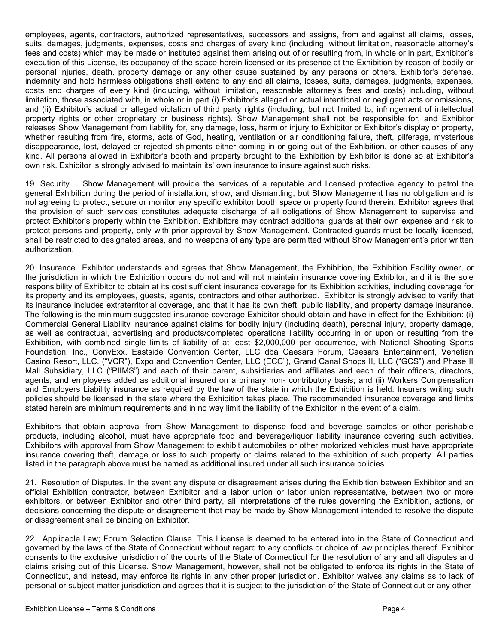employees, agents, contractors, authorized representatives, successors and assigns, from and against all claims, losses, suits, damages, judgments, expenses, costs and charges of every kind (including, without limitation, reasonable attorney's fees and costs) which may be made or instituted against them arising out of or resulting from, in whole or in part, Exhibitor's execution of this License, its occupancy of the space herein licensed or its presence at the Exhibition by reason of bodily or personal injuries, death, property damage or any other cause sustained by any persons or others. Exhibitor's defense, indemnity and hold harmless obligations shall extend to any and all claims, losses, suits, damages, judgments, expenses, costs and charges of every kind (including, without limitation, reasonable attorney's fees and costs) including, without limitation, those associated with, in whole or in part (i) Exhibitor's alleged or actual intentional or negligent acts or omissions, and (ii) Exhibitor's actual or alleged violation of third party rights (including, but not limited to, infringement of intellectual property rights or other proprietary or business rights). Show Management shall not be responsible for, and Exhibitor releases Show Management from liability for, any damage, loss, harm or injury to Exhibitor or Exhibitor's display or property, whether resulting from fire, storms, acts of God, heating, ventilation or air conditioning failure, theft, pilferage, mysterious disappearance, lost, delayed or rejected shipments either coming in or going out of the Exhibition, or other causes of any kind. All persons allowed in Exhibitor's booth and property brought to the Exhibition by Exhibitor is done so at Exhibitor's own risk. Exhibitor is strongly advised to maintain its' own insurance to insure against such risks.

19. Security. Show Management will provide the services of a reputable and licensed protective agency to patrol the general Exhibition during the period of installation, show, and dismantling, but Show Management has no obligation and is not agreeing to protect, secure or monitor any specific exhibitor booth space or property found therein. Exhibitor agrees that the provision of such services constitutes adequate discharge of all obligations of Show Management to supervise and protect Exhibitor's property within the Exhibition. Exhibitors may contract additional guards at their own expense and risk to protect persons and property, only with prior approval by Show Management. Contracted guards must be locally licensed, shall be restricted to designated areas, and no weapons of any type are permitted without Show Management's prior written authorization.

20. Insurance. Exhibitor understands and agrees that Show Management, the Exhibition, the Exhibition Facility owner, or the jurisdiction in which the Exhibition occurs do not and will not maintain insurance covering Exhibitor, and it is the sole responsibility of Exhibitor to obtain at its cost sufficient insurance coverage for its Exhibition activities, including coverage for its property and its employees, guests, agents, contractors and other authorized. Exhibitor is strongly advised to verify that its insurance includes extraterritorial coverage, and that it has its own theft, public liability, and property damage insurance. The following is the minimum suggested insurance coverage Exhibitor should obtain and have in effect for the Exhibition: (i) Commercial General Liability insurance against claims for bodily injury (including death), personal injury, property damage, as well as contractual, advertising and products/completed operations liability occurring in or upon or resulting from the Exhibition, with combined single limits of liability of at least \$2,000,000 per occurrence, with National Shooting Sports Foundation, Inc., ConvExx, Eastside Convention Center, LLC dba Caesars Forum, Caesars Entertainment, Venetian Casino Resort, LLC. ("VCR"), Expo and Convention Center, LLC (ECC"), Grand Canal Shops II, LLC ("GCS") and Phase II Mall Subsidiary, LLC ("PIIMS") and each of their parent, subsidiaries and affiliates and each of their officers, directors, agents, and employees added as additional insured on a primary non- contributory basis; and (ii) Workers Compensation and Employers Liability insurance as required by the law of the state in which the Exhibition is held. Insurers writing such policies should be licensed in the state where the Exhibition takes place. The recommended insurance coverage and limits stated herein are minimum requirements and in no way limit the liability of the Exhibitor in the event of a claim.

Exhibitors that obtain approval from Show Management to dispense food and beverage samples or other perishable products, including alcohol, must have appropriate food and beverage/liquor liability insurance covering such activities. Exhibitors with approval from Show Management to exhibit automobiles or other motorized vehicles must have appropriate insurance covering theft, damage or loss to such property or claims related to the exhibition of such property. All parties listed in the paragraph above must be named as additional insured under all such insurance policies.

21. Resolution of Disputes. In the event any dispute or disagreement arises during the Exhibition between Exhibitor and an official Exhibition contractor, between Exhibitor and a labor union or labor union representative, between two or more exhibitors, or between Exhibitor and other third party, all interpretations of the rules governing the Exhibition, actions, or decisions concerning the dispute or disagreement that may be made by Show Management intended to resolve the dispute or disagreement shall be binding on Exhibitor.

22. Applicable Law; Forum Selection Clause. This License is deemed to be entered into in the State of Connecticut and governed by the laws of the State of Connecticut without regard to any conflicts or choice of law principles thereof. Exhibitor consents to the exclusive jurisdiction of the courts of the State of Connecticut for the resolution of any and all disputes and claims arising out of this License. Show Management, however, shall not be obligated to enforce its rights in the State of Connecticut, and instead, may enforce its rights in any other proper jurisdiction. Exhibitor waives any claims as to lack of personal or subject matter jurisdiction and agrees that it is subject to the jurisdiction of the State of Connecticut or any other